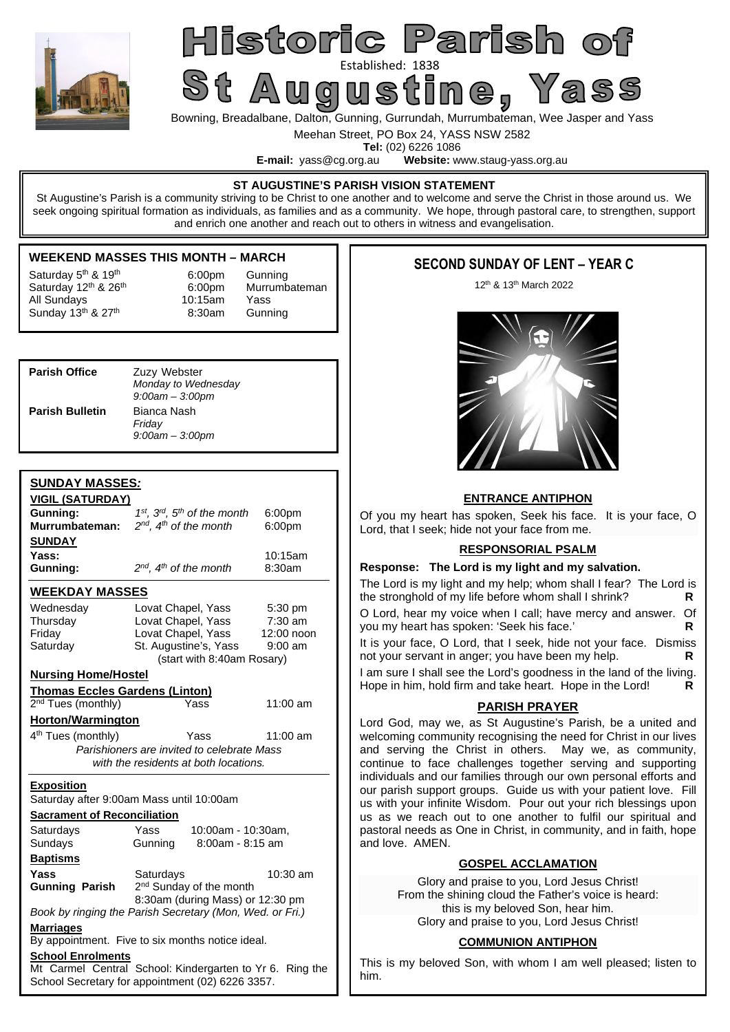

# Historic Parish o St Augustine als 1838

Bowning, Breadalbane, Dalton, Gunning, Gurrundah, Murrumbateman, Wee Jasper and Yass

Meehan Street, PO Box 24, YASS NSW 2582

**Tel:** (02) 6226 1086<br>**E-mail:** vass@cg.org.au **Website:** w Website: www.staug-yass.org.au

#### **ST AUGUSTINE'S PARISH VISION STATEMENT**

St Augustine's Parish is a community striving to be Christ to one another and to welcome and serve the Christ in those around us. We seek ongoing spiritual formation as individuals, as families and as a community. We hope, through pastoral care, to strengthen, support and enrich one another and reach out to others in witness and evangelisation.

# **WEEKEND MASSES THIS MONTH – MARCH**

| Saturday 5 <sup>th</sup> & 19 <sup>th</sup> |
|---------------------------------------------|
| Saturday 12th & 26th                        |
| All Sundays                                 |
| Sunday 13th & 27th                          |

6:00pm Gunning 6:00pm Murrumbateman 10:15am Yass 8:30am Gunning

| <b>Parish Office</b>   | Zuzy Webster<br>Monday to Wednesday<br>$9:00$ am $-3:00$ pm |
|------------------------|-------------------------------------------------------------|
| <b>Parish Bulletin</b> | Bianca Nash<br>Friday<br>$9:00$ am $-3:00$ pm               |

# **SUNDAY MASSES***:*

| <b>VIGIL (SATURDAY)</b>                  |                                                                                                              |            |  |  |  |
|------------------------------------------|--------------------------------------------------------------------------------------------------------------|------------|--|--|--|
| Gunning:                                 | $1^{st}$ , $3^{rd}$ , $5^{th}$ of the month                                                                  | 6:00pm     |  |  |  |
| Murrumbateman:                           | $2^{nd}$ , $4^{th}$ of the month<br>6:00pm                                                                   |            |  |  |  |
| <b>SUNDAY</b>                            |                                                                                                              |            |  |  |  |
| Yass:                                    |                                                                                                              | 10:15am    |  |  |  |
| Gunning:                                 | $2^{nd}$ , $4^{th}$ of the month                                                                             | 8:30am     |  |  |  |
|                                          |                                                                                                              |            |  |  |  |
| <b>WEEKDAY MASSES</b>                    |                                                                                                              |            |  |  |  |
| Wednesday                                | Lovat Chapel, Yass                                                                                           | 5:30 pm    |  |  |  |
| Thursday                                 | Lovat Chapel, Yass                                                                                           | $7:30$ am  |  |  |  |
| Friday                                   | Lovat Chapel, Yass                                                                                           | 12:00 noon |  |  |  |
| Saturday                                 | St. Augustine's, Yass                                                                                        | $9:00$ am  |  |  |  |
|                                          | (start with 8:40am Rosary)                                                                                   |            |  |  |  |
| <b>Nursing Home/Hostel</b>               |                                                                                                              |            |  |  |  |
| <b>Thomas Eccles Gardens (Linton)</b>    |                                                                                                              |            |  |  |  |
| 2 <sup>nd</sup> Tues (monthly)           | Yass                                                                                                         | 11:00 am   |  |  |  |
| <b>Horton/Warmington</b>                 |                                                                                                              |            |  |  |  |
| 4 <sup>th</sup> Tues (monthly)           | Yass                                                                                                         | $11:00$ am |  |  |  |
|                                          | Parishioners are invited to celebrate Mass                                                                   |            |  |  |  |
|                                          | with the residents at both locations.                                                                        |            |  |  |  |
|                                          |                                                                                                              |            |  |  |  |
| <u>Exposition</u>                        |                                                                                                              |            |  |  |  |
| Saturday after 9:00am Mass until 10:00am |                                                                                                              |            |  |  |  |
|                                          |                                                                                                              |            |  |  |  |
| <b>Sacrament of Reconciliation</b>       |                                                                                                              |            |  |  |  |
| Saturdays                                | Yass<br>10:00am - 10:30am,                                                                                   |            |  |  |  |
| Sundays                                  | 8:00am - 8:15 am<br>Gunning                                                                                  |            |  |  |  |
| <b>Baptisms</b>                          |                                                                                                              |            |  |  |  |
| Yass                                     |                                                                                                              | $10:30$ am |  |  |  |
|                                          | Saturdays                                                                                                    |            |  |  |  |
| <b>Gunning Parish</b>                    | 2 <sup>nd</sup> Sunday of the month<br>8:30am (during Mass) or 12:30 pm                                      |            |  |  |  |
|                                          | Book by ringing the Parish Secretary (Mon, Wed. or Fri.)                                                     |            |  |  |  |
| <b>Marriages</b>                         |                                                                                                              |            |  |  |  |
|                                          | By appointment. Five to six months notice ideal.                                                             |            |  |  |  |
| <b>School Enrolments</b>                 |                                                                                                              |            |  |  |  |
|                                          | Mt Carmel Central School: Kindergarten to Yr 6. Ring the<br>School Secretary for appointment (02) 6226 3357. |            |  |  |  |

# **SECOND SUNDAY OF LENT – YEAR C**

12th & 13th March 2022



#### **ENTRANCE ANTIPHON**

Of you my heart has spoken, Seek his face. It is your face, O Lord, that I seek; hide not your face from me.

# **RESPONSORIAL PSALM**

#### **Response: The Lord is my light and my salvation.**

The Lord is my light and my help; whom shall I fear? The Lord is the stronghold of my life before whom shall I shrink? **R** 

O Lord, hear my voice when I call; have mercy and answer. Of you my heart has spoken: 'Seek his face.' **R** 

It is your face, O Lord, that I seek, hide not your face. Dismiss not your servant in anger; you have been my help. **R** 

I am sure I shall see the Lord's goodness in the land of the living. Hope in him, hold firm and take heart. Hope in the Lord! **R** 

### **PARISH PRAYER**

Lord God, may we, as St Augustine's Parish, be a united and welcoming community recognising the need for Christ in our lives and serving the Christ in others. May we, as community, continue to face challenges together serving and supporting individuals and our families through our own personal efforts and our parish support groups. Guide us with your patient love. Fill us with your infinite Wisdom. Pour out your rich blessings upon us as we reach out to one another to fulfil our spiritual and pastoral needs as One in Christ, in community, and in faith, hope and love. AMEN.

# **GOSPEL ACCLAMATION**

Glory and praise to you, Lord Jesus Christ! From the shining cloud the Father's voice is heard: this is my beloved Son, hear him. Glory and praise to you, Lord Jesus Christ!

### **COMMUNION ANTIPHON**

This is my beloved Son, with whom I am well pleased; listen to him.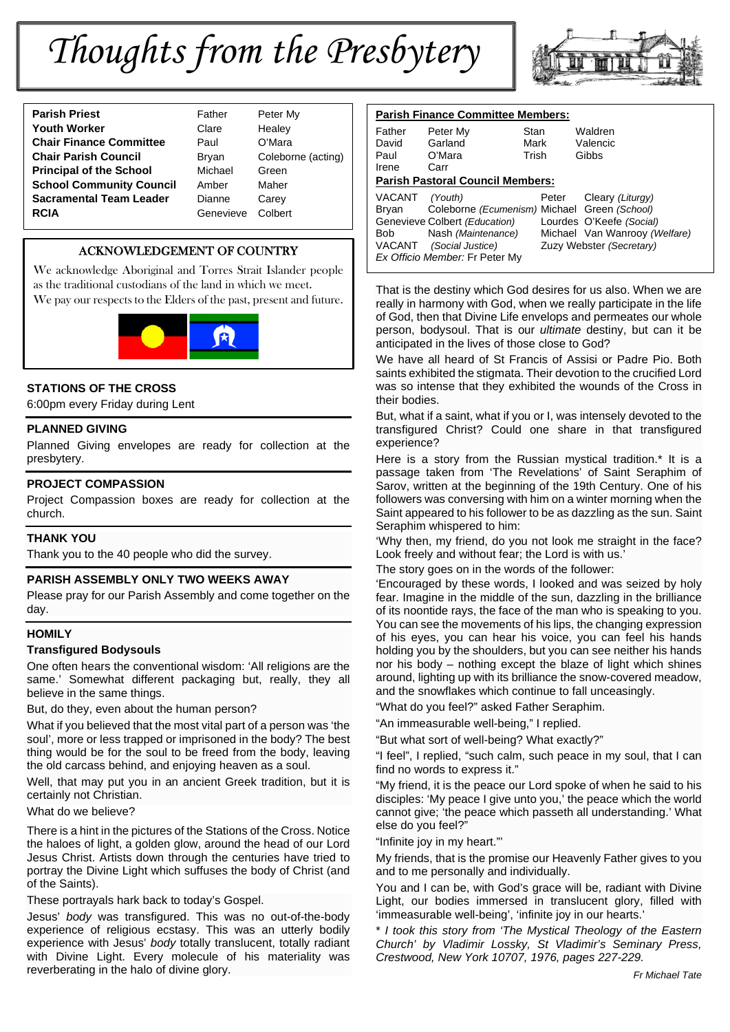# *Thoughts from the Presbytery*



| <b>Parish Priest</b><br>Father              | Peter I |
|---------------------------------------------|---------|
| <b>Youth Worker</b><br>Clare                | Healey  |
| <b>Chair Finance Committee</b><br>Paul      | O'Mar   |
| <b>Chair Parish Council</b><br><b>Bryan</b> | Coleb   |
| <b>Principal of the School</b><br>Michael   | Green   |
| <b>School Community Council</b><br>Amber    | Maher   |
| <b>Sacramental Team Leader</b><br>Dianne    | Carey   |
| <b>RCIA</b><br>Genevieve                    | Colber  |

ather **Peter My** *Postage* Healey aul O'Mara **ryan** Coleborne (acting) **Principal of the School** Michael Green **Renevieve Colbert** 

# ACKNOWLEDGEMENT OF COUNTRY

We acknowledge Aboriginal and Torres Strait Islander people as the traditional custodians of the land in which we meet. We pay our respects to the Elders of the past, present and future.



# **STATIONS OF THE CROSS**

6:00pm every Friday during Lent

# **PLANNED GIVING**

Planned Giving envelopes are ready for collection at the presbytery.

#### **PROJECT COMPASSION**

Project Compassion boxes are ready for collection at the church.

# **THANK YOU**

Thank you to the 40 people who did the survey.

### **PARISH ASSEMBLY ONLY TWO WEEKS AWAY**

Please pray for our Parish Assembly and come together on the day.

### **HOMILY**

#### **Transfigured Bodysouls**

One often hears the conventional wisdom: 'All religions are the same.' Somewhat different packaging but, really, they all believe in the same things.

But, do they, even about the human person?

What if you believed that the most vital part of a person was 'the soul', more or less trapped or imprisoned in the body? The best thing would be for the soul to be freed from the body, leaving the old carcass behind, and enjoying heaven as a soul.

Well, that may put you in an ancient Greek tradition, but it is certainly not Christian.

What do we believe?

There is a hint in the pictures of the Stations of the Cross. Notice the haloes of light, a golden glow, around the head of our Lord Jesus Christ. Artists down through the centuries have tried to portray the Divine Light which suffuses the body of Christ (and of the Saints).

These portrayals hark back to today's Gospel.

Jesus' *body* was transfigured. This was no out-of-the-body experience of religious ecstasy. This was an utterly bodily experience with Jesus' *body* totally translucent, totally radiant with Divine Light. Every molecule of his materiality was reverberating in the halo of divine glory.

| <b>Parish Finance Committee Members:</b> |                                              |       |       |                               |  |
|------------------------------------------|----------------------------------------------|-------|-------|-------------------------------|--|
| Father                                   | Peter My                                     | Stan  |       | Waldren                       |  |
| David                                    | Garland                                      | Mark  |       | Valencic                      |  |
| Paul                                     | O'Mara                                       | Trish |       | Gibbs                         |  |
| Irene                                    | Carr                                         |       |       |                               |  |
| <b>Parish Pastoral Council Members:</b>  |                                              |       |       |                               |  |
| VACANT                                   | (Youth)                                      |       | Peter | Cleary (Liturgy)              |  |
| Brvan                                    | Coleborne (Ecumenism) Michael Green (School) |       |       |                               |  |
|                                          | Genevieve Colbert (Education)                |       |       | Lourdes O'Keefe (Social)      |  |
| Bob                                      | Nash (Maintenance)                           |       |       | Michael Van Wanrooy (Welfare) |  |
|                                          | VACANT (Social Justice)                      |       |       | Zuzy Webster (Secretary)      |  |
|                                          | Ex Officio Member: Fr Peter My               |       |       |                               |  |

That is the destiny which God desires for us also. When we are really in harmony with God, when we really participate in the life of God, then that Divine Life envelops and permeates our whole person, bodysoul. That is our *ultimate* destiny, but can it be anticipated in the lives of those close to God?

We have all heard of St Francis of Assisi or Padre Pio. Both saints exhibited the stigmata. Their devotion to the crucified Lord was so intense that they exhibited the wounds of the Cross in their bodies.

But, what if a saint, what if you or I, was intensely devoted to the transfigured Christ? Could one share in that transfigured experience?

Here is a story from the Russian mystical tradition.\* It is a passage taken from 'The Revelations' of Saint Seraphim of Sarov, written at the beginning of the 19th Century. One of his followers was conversing with him on a winter morning when the Saint appeared to his follower to be as dazzling as the sun. Saint Seraphim whispered to him:

'Why then, my friend, do you not look me straight in the face? Look freely and without fear; the Lord is with us.'

The story goes on in the words of the follower:

'Encouraged by these words, I looked and was seized by holy fear. Imagine in the middle of the sun, dazzling in the brilliance of its noontide rays, the face of the man who is speaking to you. You can see the movements of his lips, the changing expression of his eyes, you can hear his voice, you can feel his hands holding you by the shoulders, but you can see neither his hands nor his body – nothing except the blaze of light which shines around, lighting up with its brilliance the snow-covered meadow, and the snowflakes which continue to fall unceasingly.

"What do you feel?" asked Father Seraphim.

"An immeasurable well-being," I replied.

"But what sort of well-being? What exactly?"

"I feel", I replied, "such calm, such peace in my soul, that I can find no words to express it."

"My friend, it is the peace our Lord spoke of when he said to his disciples: 'My peace I give unto you,' the peace which the world cannot give; 'the peace which passeth all understanding.' What else do you feel?"

"Infinite joy in my heart."'

My friends, that is the promise our Heavenly Father gives to you and to me personally and individually.

You and I can be, with God's grace will be, radiant with Divine Light, our bodies immersed in translucent glory, filled with 'immeasurable well-being', 'infinite joy in our hearts.'

\* *I took this story from 'The Mystical Theology of the Eastern Church' by Vladimir Lossky, St Vladimir's Seminary Press, Crestwood, New York 10707, 1976, pages 227-229.*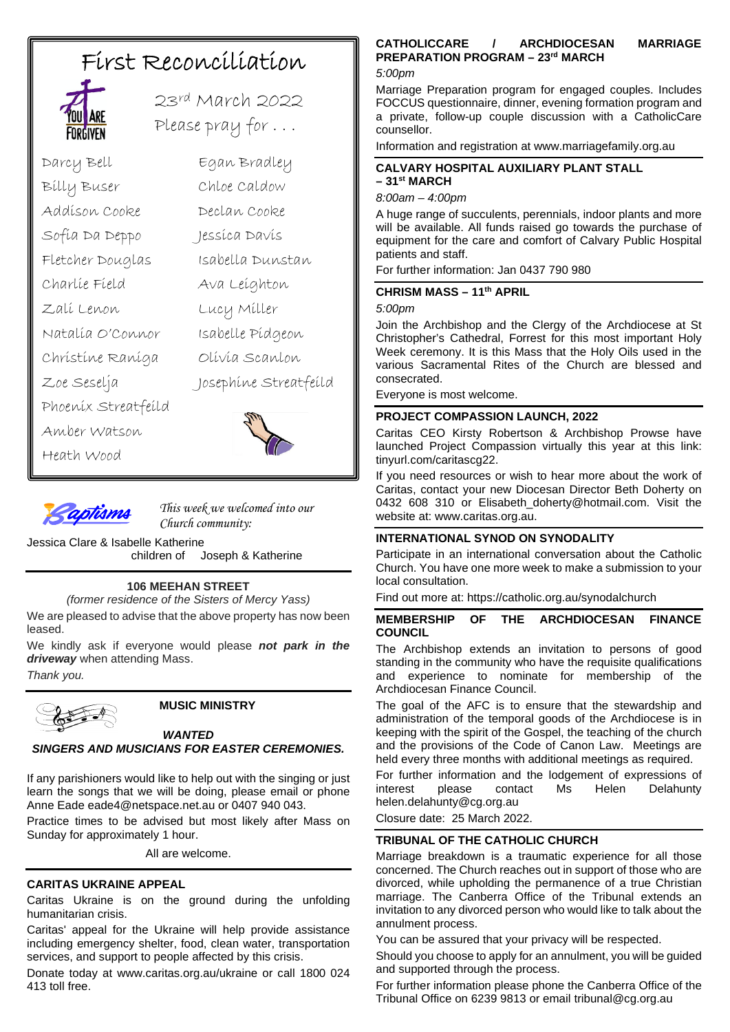# First Reconciliation



23rd March 2022 Please pray for . . .

Darcy Bell Egan Bradley Billy Buser Chloe Caldow Addison Cooke Declan Cooke Sofia Da Deppo Jessica Davis Fletcher Douglas Isabella Dunstan Charlie Field Ava Leighton Zali Lenon Lucy Miller Natalia O'Connor Isabelle Pidgeon Christine Raniga Olivia Scanlon Zoe Seselja Josephine Streatfeild Phoenix Streatfeild Amber Watson Heath Wood





*This week we welcomed into our Church community:*

Jessica Clare & Isabelle Katherine Joseph & Katherine

# **106 MEEHAN STREET**

*(former residence of the Sisters of Mercy Yass)*

We are pleased to advise that the above property has now been leased.

We kindly ask if everyone would please *not park in the driveway* when attending Mass. *Thank you.*



# **MUSIC MINISTRY**

# *WANTED*

*SINGERS AND MUSICIANS FOR EASTER CEREMONIES.* 

If any parishioners would like to help out with the singing or just learn the songs that we will be doing, please email or phone Anne Eade eade4@netspace.net.au or 0407 940 043.

Practice times to be advised but most likely after Mass on Sunday for approximately 1 hour.

All are welcome.

# **CARITAS UKRAINE APPEAL**

Caritas Ukraine is on the ground during the unfolding humanitarian crisis.

Caritas' appeal for the Ukraine will help provide assistance including emergency shelter, food, clean water, transportation services, and support to people affected by this crisis.

Donate today at www.caritas.org.au/ukraine or call 1800 024 413 toll free.

# **CATHOLICCARE / ARCHDIOCESAN MARRIAGE PREPARATION PROGRAM – 23rd MARCH**

#### *5:00pm*

Marriage Preparation program for engaged couples. Includes FOCCUS questionnaire, dinner, evening formation program and a private, follow-up couple discussion with a CatholicCare counsellor.

Information and registration at www.marriagefamily.org.au

#### **CALVARY HOSPITAL AUXILIARY PLANT STALL – 31st MARCH**

#### *8:00am – 4:00pm*

A huge range of succulents, perennials, indoor plants and more will be available. All funds raised go towards the purchase of equipment for the care and comfort of Calvary Public Hospital patients and staff.

For further information: Jan 0437 790 980

# **CHRISM MASS – 11th APRIL**

*5:00pm*

Join the Archbishop and the Clergy of the Archdiocese at St Christopher's Cathedral, Forrest for this most important Holy Week ceremony. It is this Mass that the Holy Oils used in the various Sacramental Rites of the Church are blessed and consecrated.

Everyone is most welcome.

# **PROJECT COMPASSION LAUNCH, 2022**

Caritas CEO Kirsty Robertson & Archbishop Prowse have launched Project Compassion virtually this year at this link: tinyurl.com/caritascg22.

If you need resources or wish to hear more about the work of Caritas, contact your new Diocesan Director Beth Doherty on 0432 608 310 or Elisabeth\_doherty@hotmail.com. Visit the website at: www.caritas.org.au.

# **INTERNATIONAL SYNOD ON SYNODALITY**

Participate in an international conversation about the Catholic Church. You have one more week to make a submission to your local consultation.

Find out more at: https://catholic.org.au/synodalchurch

### **MEMBERSHIP OF THE ARCHDIOCESAN FINANCE COUNCIL**

The Archbishop extends an invitation to persons of good standing in the community who have the requisite qualifications and experience to nominate for membership of the Archdiocesan Finance Council.

The goal of the AFC is to ensure that the stewardship and administration of the temporal goods of the Archdiocese is in keeping with the spirit of the Gospel, the teaching of the church and the provisions of the Code of Canon Law. Meetings are held every three months with additional meetings as required.

For further information and the lodgement of expressions of interest please contact Ms Helen Delahunty interest please contact Ms Helen Delahunty helen.delahunty@cg.org.au

Closure date: 25 March 2022.

# **TRIBUNAL OF THE CATHOLIC CHURCH**

Marriage breakdown is a traumatic experience for all those concerned. The Church reaches out in support of those who are divorced, while upholding the permanence of a true Christian marriage. The Canberra Office of the Tribunal extends an invitation to any divorced person who would like to talk about the annulment process.

You can be assured that your privacy will be respected.

Should you choose to apply for an annulment, you will be guided and supported through the process.

For further information please phone the Canberra Office of the Tribunal Office on 6239 9813 or email tribunal@cg.org.au